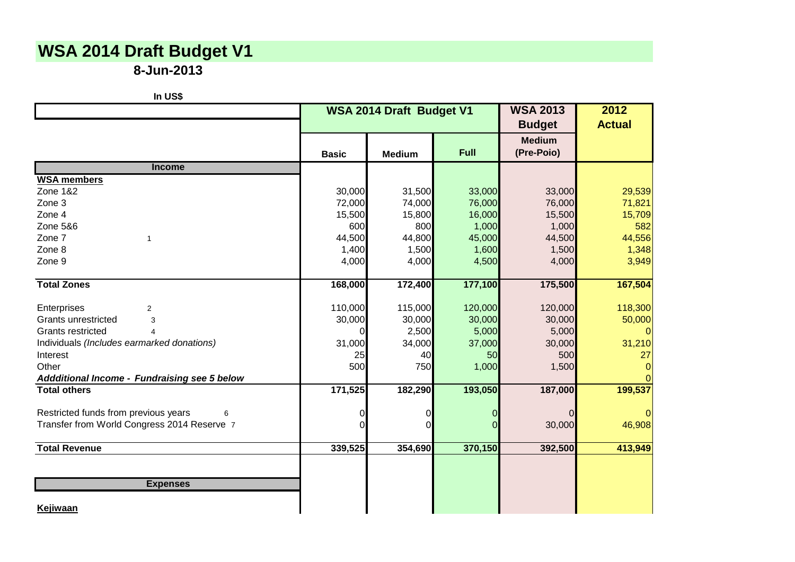## **WSA 2014 Draft Budget V1**

**8-Jun-2013**

| In US\$                                      |              |                          |         |                             |                       |
|----------------------------------------------|--------------|--------------------------|---------|-----------------------------|-----------------------|
|                                              |              | WSA 2014 Draft Budget V1 |         |                             | 2012<br><b>Actual</b> |
|                                              | <b>Basic</b> | <b>Medium</b>            | Full    | <b>Medium</b><br>(Pre-Poio) |                       |
| <b>Income</b>                                |              |                          |         |                             |                       |
| <b>WSA members</b>                           |              |                          |         |                             |                       |
| <b>Zone 1&amp;2</b>                          | 30,000       | 31,500                   | 33,000  | 33,000                      | 29,539                |
| Zone 3                                       | 72,000       | 74,000                   | 76,000  | 76,000                      | 71,821                |
| Zone 4                                       | 15,500       | 15,800                   | 16,000  | 15,500                      | 15,709                |
| <b>Zone 5&amp;6</b>                          | 600          | 800                      | 1,000   | 1,000                       | 582                   |
| Zone 7<br>$\overline{1}$                     | 44,500       | 44,800                   | 45,000  | 44,500                      | 44,556                |
| Zone 8                                       | 1,400        | 1,500                    | 1,600   | 1,500                       | 1,348                 |
| Zone 9                                       | 4,000        | 4,000                    | 4,500   | 4,000                       | 3,949                 |
| <b>Total Zones</b>                           | 168,000      | 172,400                  | 177,100 | 175,500                     | 167,504               |
| Enterprises<br>2                             | 110,000      | 115,000                  | 120,000 | 120,000                     | 118,300               |
| <b>Grants unrestricted</b><br>3              | 30,000       | 30,000                   | 30,000  | 30,000                      | 50,000                |
| <b>Grants restricted</b><br>$\overline{4}$   | 0            | 2,500                    | 5,000   | 5,000                       |                       |
| Individuals (Includes earmarked donations)   | 31,000       | 34,000                   | 37,000  | 30,000                      | 31,210                |
| Interest                                     | 25           | 40                       | 50      | 500                         | 27                    |
| Other                                        | 500          | 750                      | 1,000   | 1,500                       |                       |
| Addditional Income - Fundraising see 5 below |              |                          |         |                             |                       |
| <b>Total others</b>                          | 171,525      | 182,290                  | 193,050 | 187,000                     | 199,537               |
| Restricted funds from previous years<br>6    | 0            | 0                        | 0       | 0                           |                       |
| Transfer from World Congress 2014 Reserve 7  | ∩            | U                        |         | 30,000                      | 46,908                |
| <b>Total Revenue</b>                         | 339,525      | 354,690                  | 370,150 | 392,500                     | 413,949               |
|                                              |              |                          |         |                             |                       |
| <b>Expenses</b>                              |              |                          |         |                             |                       |
| Kejiwaan                                     |              |                          |         |                             |                       |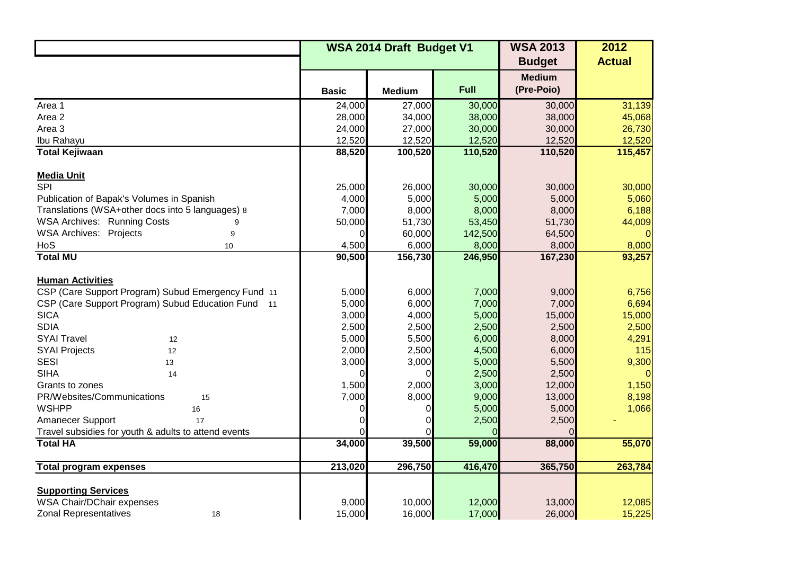|                                                      | WSA 2014 Draft Budget V1 |               |             | <b>WSA 2013</b> | 2012          |
|------------------------------------------------------|--------------------------|---------------|-------------|-----------------|---------------|
|                                                      |                          |               |             | <b>Budget</b>   | <b>Actual</b> |
|                                                      |                          |               |             | <b>Medium</b>   |               |
|                                                      | <b>Basic</b>             | <b>Medium</b> | <b>Full</b> | (Pre-Poio)      |               |
| Area 1                                               | 24,000                   | 27,000        | 30,000      | 30,000          | 31,139        |
| Area 2                                               | 28,000                   | 34,000        | 38,000      | 38,000          | 45,068        |
| Area 3                                               | 24,000                   | 27,000        | 30,000      | 30,000          | 26,730        |
| Ibu Rahayu                                           | 12,520                   | 12,520        | 12,520      | 12,520          | 12,520        |
| <b>Total Kejiwaan</b>                                | 88,520                   | 100,520       | 110,520     | 110,520         | 115,457       |
| <b>Media Unit</b>                                    |                          |               |             |                 |               |
| <b>SPI</b>                                           | 25,000                   | 26,000        | 30,000      | 30,000          | 30,000        |
| Publication of Bapak's Volumes in Spanish            | 4,000                    | 5,000         | 5,000       | 5,000           | 5,060         |
| Translations (WSA+other docs into 5 languages) 8     | 7,000                    | 8,000         | 8,000       | 8,000           | 6,188         |
| <b>WSA Archives: Running Costs</b>                   | 50,000                   | 51,730        | 53,450      | 51,730          | 44,009        |
| <b>WSA Archives: Projects</b><br>9                   | 0                        | 60,000        | 142,500     | 64,500          |               |
| HoS<br>10                                            | 4,500                    | 6,000         | 8,000       | 8,000           | 8,000         |
| <b>Total MU</b>                                      | 90,500                   | 156,730       | 246,950     | 167,230         | 93,257        |
|                                                      |                          |               |             |                 |               |
| <b>Human Activities</b>                              |                          |               |             |                 |               |
| CSP (Care Support Program) Subud Emergency Fund 11   | 5,000                    | 6,000         | 7,000       | 9,000           | 6,756         |
| CSP (Care Support Program) Subud Education Fund 11   | 5,000                    | 6,000         | 7,000       | 7,000           | 6,694         |
| <b>SICA</b>                                          | 3,000                    | 4,000         | 5,000       | 15,000          | 15,000        |
| <b>SDIA</b>                                          | 2,500                    | 2,500         | 2,500       | 2,500           | 2,500         |
| <b>SYAI Travel</b><br>12                             | 5,000                    | 5,500         | 6,000       | 8,000           | 4,291         |
| <b>SYAI Projects</b><br>12                           | 2,000                    | 2,500         | 4,500       | 6,000           | 115           |
| <b>SESI</b><br>13                                    | 3,000                    | 3,000         | 5,000       | 5,500           | 9,300         |
| <b>SIHA</b><br>14                                    | 0                        | 0             | 2,500       | 2,500           | $\Omega$      |
| Grants to zones                                      | 1,500                    | 2,000         | 3,000       | 12,000          | 1,150         |
| PR/Websites/Communications<br>15                     | 7,000                    | 8,000         | 9,000       | 13,000          | 8,198         |
| <b>WSHPP</b><br>16                                   | 0                        | 0             | 5,000       | 5,000           | 1,066         |
| Amanecer Support<br>17                               |                          |               | 2,500       | 2,500           |               |
| Travel subsidies for youth & adults to attend events |                          |               |             |                 |               |
| <b>Total HA</b>                                      | 34,000                   | 39,500        | 59,000      | 88,000          | 55,070        |
| <b>Total program expenses</b>                        | 213,020                  | 296,750       | 416,470     | 365,750         | 263,784       |
|                                                      |                          |               |             |                 |               |
| <b>Supporting Services</b>                           |                          |               |             |                 |               |
| WSA Chair/DChair expenses                            | 9,000                    | 10,000        | 12,000      | 13,000          | 12,085        |
| <b>Zonal Representatives</b><br>18                   | 15,000                   | 16,000        | 17,000      | 26,000          | 15,225        |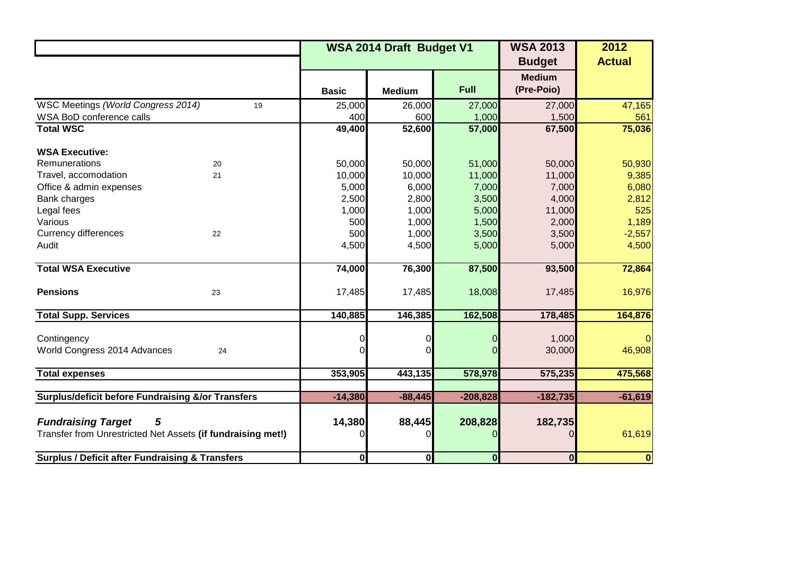|                                                              | WSA 2014 Draft Budget V1 |                  |                  | <b>WSA 2013</b>  | 2012             |
|--------------------------------------------------------------|--------------------------|------------------|------------------|------------------|------------------|
|                                                              |                          |                  |                  | <b>Budget</b>    | <b>Actual</b>    |
|                                                              |                          |                  |                  | <b>Medium</b>    |                  |
|                                                              | <b>Basic</b>             | <b>Medium</b>    | Full             | (Pre-Poio)       |                  |
| WSC Meetings (World Congress 2014)<br>19                     | 25,000                   | 26,000           | 27,000           | 27,000           | 47,165           |
| WSA BoD conference calls                                     | 400                      | 600              | 1,000            | 1,500            | 561              |
| <b>Total WSC</b>                                             | 49,400                   | 52,600           | 57,000           | 67,500           | 75,036           |
|                                                              |                          |                  |                  |                  |                  |
| <b>WSA Executive:</b><br>Remunerations                       |                          |                  |                  |                  |                  |
| 20<br>Travel, accomodation<br>21                             | 50,000<br>10,000         | 50,000<br>10,000 | 51,000<br>11,000 | 50,000<br>11,000 | 50,930<br>9,385  |
| Office & admin expenses                                      | 5,000                    | 6,000            | 7,000            | 7,000            | 6,080            |
| Bank charges                                                 | 2,500                    | 2,800            | 3,500            | 4,000            | 2,812            |
| Legal fees                                                   | 1,000                    | 1,000            | 5,000            | 11,000           | 525              |
| Various                                                      | 500                      | 1,000            | 1,500            | 2,000            | 1,189            |
| <b>Currency differences</b><br>22                            | 500                      | 1,000            | 3,500            | 3,500            | $-2,557$         |
| Audit                                                        | 4,500                    | 4,500            | 5,000            | 5,000            | 4,500            |
|                                                              |                          |                  |                  |                  |                  |
| <b>Total WSA Executive</b>                                   | 74,000                   | 76,300           | 87,500           | 93,500           | 72,864           |
|                                                              |                          |                  |                  |                  |                  |
| <b>Pensions</b><br>23                                        | 17,485                   | 17,485           | 18,008           | 17,485           | 16,976           |
| <b>Total Supp. Services</b>                                  | 140,885                  | 146,385          | 162,508          | 178,485          | 164,876          |
|                                                              |                          |                  |                  |                  |                  |
| Contingency                                                  |                          |                  |                  | 1,000            | $\Omega$         |
| World Congress 2014 Advances<br>24                           |                          |                  |                  | 30,000           | 46,908           |
|                                                              |                          |                  |                  |                  |                  |
| <b>Total expenses</b>                                        | 353,905                  | 443,135          | 578,978          | 575,235          | 475,568          |
|                                                              |                          |                  |                  |                  |                  |
| <b>Surplus/deficit before Fundraising &amp;/or Transfers</b> | $-14,380$                | $-88,445$        | $-208,828$       | $-182,735$       | $-61,619$        |
|                                                              |                          |                  |                  |                  |                  |
| <b>Fundraising Target</b><br>5                               | 14,380                   | 88,445           | 208,828          | 182,735          |                  |
| Transfer from Unrestricted Net Assets (if fundraising met!)  |                          | O                |                  | $\Omega$         | 61,619           |
| <b>Surplus / Deficit after Fundraising &amp; Transfers</b>   | $\mathbf{0}$             | $\mathbf 0$      | $\boldsymbol{0}$ | $\bf{0}$         | $\boldsymbol{0}$ |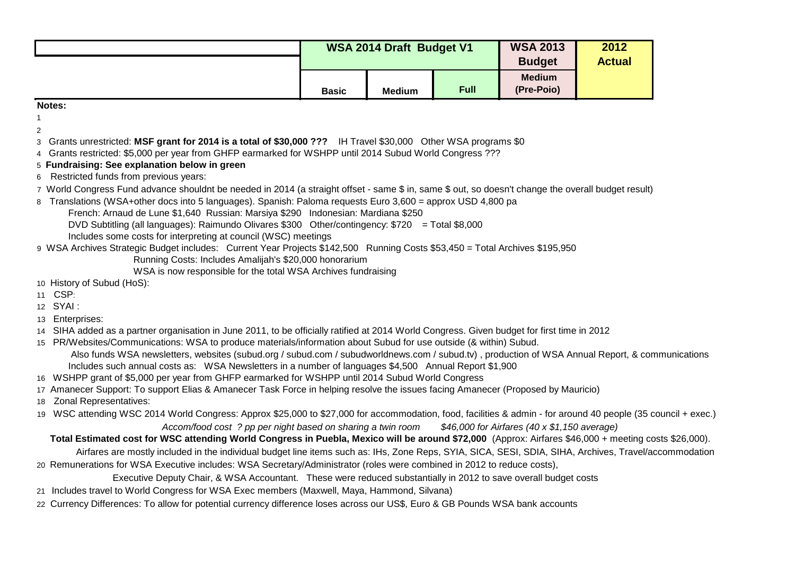| <b>WSA 2014 Draft Budget V1</b> |               |             | <b>WSA 2013</b><br><b>Budget</b> | 2012<br><b>Actual</b> |
|---------------------------------|---------------|-------------|----------------------------------|-----------------------|
| <b>Basic</b>                    | <b>Medium</b> | <b>Full</b> | <b>Medium</b><br>(Pre-Poio)      |                       |

**Notes:**

1  $\mathfrak{D}$ 

- 3 Grants unrestricted: **MSF grant for 2014 is a total of \$30,000 ???** IH Travel \$30,000 Other WSA programs \$0
- 4 Grants restricted: \$5,000 per year from GHFP earmarked for WSHPP until 2014 Subud World Congress ???
- 5 **Fundraising: See explanation below in green**
- 6 Restricted funds from previous years:
- 7 World Congress Fund advance shouldnt be needed in 2014 (a straight offset same \$ in, same \$ out, so doesn't change the overall budget result)
- 8 Translations (WSA+other docs into 5 languages). Spanish: Paloma requests Euro 3,600 = approx USD 4,800 pa
	- French: Arnaud de Lune \$1,640 Russian: Marsiya \$290 Indonesian: Mardiana \$250
	- DVD Subtitling (all languages): Raimundo Olivares \$300 Other/contingency: \$720 = Total \$8,000
	- Includes some costs for interpreting at council (WSC) meetings
- 9 WSA Archives Strategic Budget includes: Current Year Projects \$142,500 Running Costs \$53,450 = Total Archives \$195,950
	- Running Costs: Includes Amalijah's \$20,000 honorarium
	- WSA is now responsible for the total WSA Archives fundraising
- 10 History of Subud (HoS):
- 11 CSP:
- 12 SYAI :
- 13 Enterprises:
- 14 SIHA added as a partner organisation in June 2011, to be officially ratified at 2014 World Congress. Given budget for first time in 2012
- 15 PR/Websites/Communications: WSA to produce materials/information about Subud for use outside (& within) Subud.
	- Also funds WSA newsletters, websites (subud.org / subud.com / subudworldnews.com / subud.tv) , production of WSA Annual Report, & communications Includes such annual costs as: WSA Newsletters in a number of languages \$4,500 Annual Report \$1,900
- 16 WSHPP grant of \$5,000 per year from GHFP earmarked for WSHPP until 2014 Subud World Congress
- 17 Amanecer Support: To support Elias & Amanecer Task Force in helping resolve the issues facing Amanecer (Proposed by Mauricio)
- 18 Zonal Representatives:
- 19 WSC attending WSC 2014 World Congress: Approx \$25,000 to \$27,000 for accommodation, food, facilities & admin for around 40 people (35 council + exec.)  *Accom/food cost ? pp per night based on sharing a twin room \$46,000 for Airfares (40 x \$1,150 average)*

## **Total Estimated cost for WSC attending World Congress in Puebla, Mexico will be around \$72,000** (Approx: Airfares \$46,000 + meeting costs \$26,000).

- Airfares are mostly included in the individual budget line items such as: IHs, Zone Reps, SYIA, SICA, SESI, SDIA, SIHA, Archives, Travel/accommodation 20 Remunerations for WSA Executive includes: WSA Secretary/Administrator (roles were combined in 2012 to reduce costs),
- Executive Deputy Chair, & WSA Accountant. These were reduced substantially in 2012 to save overall budget costs
- 21 Includes travel to World Congress for WSA Exec members (Maxwell, Maya, Hammond, Silvana)
- 22 Currency Differences: To allow for potential currency difference loses across our US\$, Euro & GB Pounds WSA bank accounts